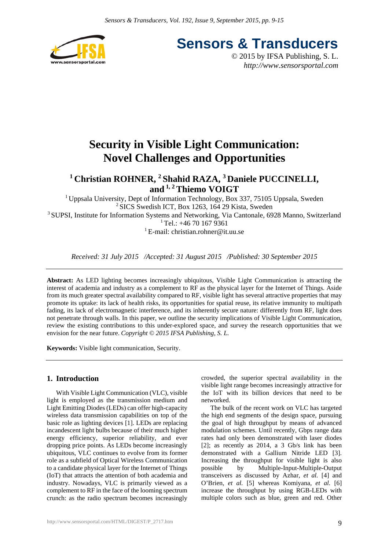

**Sensors & Transducers**

© 2015 by IFSA Publishing, S. L. *http://www.sensorsportal.com*

# **Security in Visible Light Communication: Novel Challenges and Opportunities**

## <sup>1</sup> Christian ROHNER, <sup>2</sup> Shahid RAZA, <sup>3</sup> Daniele PUCCINELLI, **and 1, 2 Thiemo VOIGT**

<sup>1</sup> Uppsala University, Dept of Information Technology, Box 337, 75105 Uppsala, Sweden  $2$  SICS Swedish ICT, Box 1263, 164 29 Kista, Sweden <sup>3</sup> SUPSI, Institute for Information Systems and Networking, Via Cantonale, 6928 Manno, Switzerland  $1$ Tel.: +46 70 167 9361

<sup>1</sup> E-mail: christian.rohner@it.uu.se

*Received: 31 July 2015 /Accepted: 31 August 2015 /Published: 30 September 2015*

**Abstract:** As LED lighting becomes increasingly ubiquitous, Visible Light Communication is attracting the interest of academia and industry as a complement to RF as the physical layer for the Internet of Things. Aside from its much greater spectral availability compared to RF, visible light has several attractive properties that may promote its uptake: its lack of health risks, its opportunities for spatial reuse, its relative immunity to multipath fading, its lack of electromagnetic interference, and its inherently secure nature: differently from RF, light does not penetrate through walls. In this paper, we outline the security implications of Visible Light Communication, review the existing contributions to this under-explored space, and survey the research opportunities that we envision for the near future. *Copyright © 2015 IFSA Publishing, S. L.*

**Keywords:** Visible light communication, Security.

## **1. Introduction**

With Visible Light Communication (VLC), visible light is employed as the transmission medium and Light Emitting Diodes (LEDs) can offer high-capacity wireless data transmission capabilities on top of the basic role as lighting devices [1]. LEDs are replacing incandescent light bulbs because of their much higher energy efficiency, superior reliability, and ever dropping price points. As LEDs become increasingly ubiquitous, VLC continues to evolve from its former role as a subfield of Optical Wireless Communication to a candidate physical layer for the Internet of Things (IoT) that attracts the attention of both academia and industry. Nowadays, VLC is primarily viewed as a complement to RF in the face of the looming spectrum crunch: as the radio spectrum becomes increasingly

crowded, the superior spectral availability in the visible light range becomes increasingly attractive for the IoT with its billion devices that need to be networked.

The bulk of the recent work on VLC has targeted the high end segments of the design space, pursuing the goal of high throughput by means of advanced modulation schemes. Until recently, Gbps range data rates had only been demonstrated with laser diodes [2]; as recently as 2014, a 3 Gb/s link has been demonstrated with a Gallium Nitride LED [3]. Increasing the throughput for visible light is also possible by Multiple-Input-Multiple-Output transceivers as discussed by Azhar, *et al.* [4] and O'Brien*, et al.* [5] whereas Komiyana*, et al.* [6] increase the throughput by using RGB-LEDs with multiple colors such as blue, green and red. Other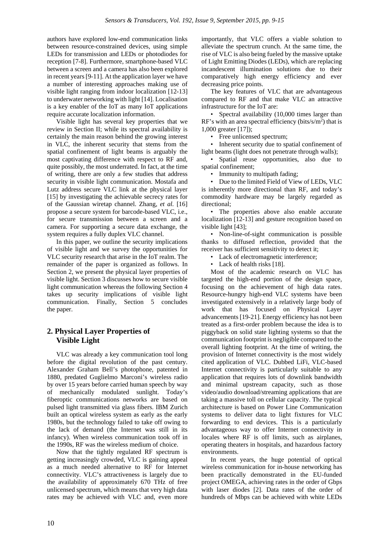authors have explored low-end communication links between resource-constrained devices, using simple LEDs for transmission and LEDs or photodiodes for reception [7-8]. Furthermore, smartphone-based VLC between a screen and a camera has also been explored in recent years [9-11]. At the application layer we have a number of interesting approaches making use of visible light ranging from indoor localization [12-13] to underwater networking with light [14]. Localisation is a key enabler of the IoT as many IoT applications require accurate localization information.

Visible light has several key properties that we review in Section II; while its spectral availability is certainly the main reason behind the growing interest in VLC, the inherent security that stems from the spatial confinement of light beams is arguably the most captivating difference with respect to RF and, quite possibly, the most underrated. In fact, at the time of writing, there are only a few studies that address security in visible light communication. Mostafa and Lutz address secure VLC link at the physical layer [15] by investigating the achievable secrecy rates for of the Gaussian wiretap channel. Zhang*, et al.* [16] propose a secure system for barcode-based VLC, i.e., for secure transmission between a screen and a camera. For supporting a secure data exchange, the system requires a fully duplex VLC channel.

In this paper, we outline the security implications of visible light and we survey the opportunities for VLC security research that arise in the IoT realm. The remainder of the paper is organized as follows. In Section 2, we present the physical layer properties of visible light. Section 3 discusses how to secure visible light communication whereas the following Section 4 takes up security implications of visible light communication. Finally, Section 5 concludes the paper.

## **2. Physical Layer Properties of Visible Light**

VLC was already a key communication tool long before the digital revolution of the past century. Alexander Graham Bell's photophone, patented in 1880, predated Guglielmo Marconi's wireless radio by over 15 years before carried human speech by way of mechanically modulated sunlight. Today's fiberoptic communications networks are based on pulsed light transmitted via glass fibers. IBM Zurich built an optical wireless system as early as the early 1980s, but the technology failed to take off owing to the lack of demand (the Internet was still in its infancy). When wireless communication took off in the 1990s, RF was the wireless medium of choice.

Now that the tightly regulated RF spectrum is getting increasingly crowded, VLC is gaining appeal as a much needed alternative to RF for Internet connectivity. VLC's attractiveness is largely due to the availability of approximately 670 THz of free unlicensed spectrum, which means that very high data rates may be achieved with VLC and, even more importantly, that VLC offers a viable solution to alleviate the spectrum crunch. At the same time, the rise of VLC is also being fueled by the massive uptake of Light Emitting Diodes (LEDs), which are replacing incandescent illumination solutions due to their comparatively high energy efficiency and ever decreasing price points.

The key features of VLC that are advantageous compared to RF and that make VLC an attractive infrastructure for the IoT are:

• Spectral availability (10,000 times larger than RF's with an area spectral efficiency (bits/s/ $m<sup>2</sup>$ ) that is 1,000 greater [17]);

• Free unlicensed spectrum;

• Inherent security due to spatial confinement of light beams (light does not penetrate through walls);

• Spatial reuse opportunities, also due to spatial confinement;

• Immunity to multipath fading;

• Due to the limited Field of View of LEDs, VLC is inherently more directional than RF, and today's commodity hardware may be largely regarded as directional;

• The properties above also enable accurate localization [12-13] and gesture recognition based on visible light [43];

• Non-line-of-sight communication is possible thanks to diffused reflection, provided that the receiver has sufficient sensitivity to detect it;

• Lack of electromagnetic interference;

• Lack of health risks [18].

Most of the academic research on VLC has targeted the high-end portion of the design space, focusing on the achievement of high data rates. Resource-hungry high-end VLC systems have been investigated extensively in a relatively large body of work that has focused on Physical Layer advancements [19-21]. Energy efficiency has not been treated as a first-order problem because the idea is to piggyback on solid state lighting systems so that the communication footprint is negligible compared to the overall lighting footprint. At the time of writing, the provision of Internet connectivity is the most widely cited application of VLC. Dubbed LiFi, VLC-based Internet connectivity is particularly suitable to any application that requires lots of downlink bandwidth and minimal upstream capacity, such as those video/audio download/streaming applications that are taking a massive toll on cellular capacity. The typical architecture is based on Power Line Communication systems to deliver data to light fixtures for VLC forwarding to end devices. This is a particularly advantageous way to offer Internet connectivity in locales where RF is off limits, such as airplanes, operating theaters in hospitals, and hazardous factory environments.

In recent years, the huge potential of optical wireless communication for in-house networking has been practically demonstrated in the EU-funded project OMEGA, achieving rates in the order of Gbps with laser diodes [2]. Data rates of the order of hundreds of Mbps can be achieved with white LEDs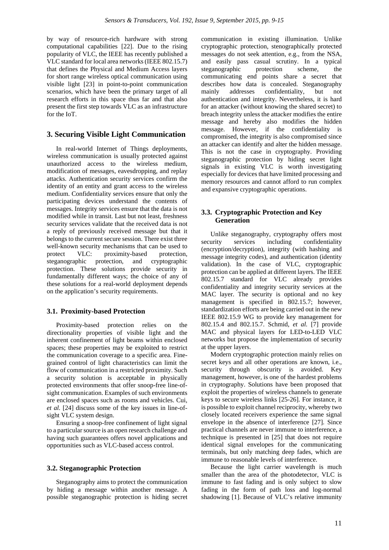by way of resource-rich hardware with strong computational capabilities [22]. Due to the rising popularity of VLC, the IEEE has recently published a VLC standard for local area networks (IEEE 802.15.7) that defines the Physical and Medium Access layers for short range wireless optical communication using visible light [23] in point-to-point communication scenarios, which have been the primary target of all research efforts in this space thus far and that also present the first step towards VLC as an infrastructure for the IoT.

## **3. Securing Visible Light Communication**

In real-world Internet of Things deployments, wireless communication is usually protected against unauthorized access to the wireless medium, modification of messages, eavesdropping, and replay attacks. Authentication security services confirm the identity of an entity and grant access to the wireless medium. Confidentiality services ensure that only the participating devices understand the contents of messages. Integrity services ensure that the data is not modified while in transit. Last but not least, freshness security services validate that the received data is not a reply of previously received message but that it belongs to the current secure session. There exist three well-known security mechanisms that can be used to protect VLC: proximity-based protection, steganographic protection, and cryptographic protection. These solutions provide security in fundamentally different ways; the choice of any of these solutions for a real-world deployment depends on the application's security requirements.

#### **3.1. Proximity-based Protection**

Proximity-based protection relies on the directionality properties of visible light and the inherent confinement of light beams within enclosed spaces; these properties may be exploited to restrict the communication coverage to a specific area. Finegrained control of light characteristics can limit the flow of communication in a restricted proximity. Such a security solution is acceptable in physically protected environments that offer snoop-free line-ofsight communication. Examples of such environments are enclosed spaces such as rooms and vehicles. Cui, *et al.* [24] discuss some of the key issues in line-ofsight VLC system design.

Ensuring a snoop-free confinement of light signal to a particular source is an open research challenge and having such guarantees offers novel applications and opportunities such as VLC-based access control.

#### **3.2. Steganographic Protection**

Steganography aims to protect the communication by hiding a message within another message. A possible steganographic protection is hiding secret communication in existing illumination. Unlike cryptographic protection, stenographically protected messages do not seek attention, e.g., from the NSA, and easily pass casual scrutiny. In a typical steganographic protection scheme, the communicating end points share a secret that describes how data is concealed. Steganography mainly addresses confidentiality, but not authentication and integrity. Nevertheless, it is hard for an attacker (without knowing the shared secret) to breach integrity unless the attacker modifies the entire message and hereby also modifies the hidden message. However, if the confidentiality is compromised, the integrity is also compromised since an attacker can identify and alter the hidden message. This is not the case in cryptography. Providing steganographic protection by hiding secret light signals in existing VLC is worth investigating especially for devices that have limited processing and memory resources and cannot afford to run complex and expansive cryptographic operations.

## **3.3. Cryptographic Protection and Key Generation**

Unlike steganography, cryptography offers most security services including confidentiality (encryption/decryption), integrity (with hashing and message integrity codes), and authentication (identity validation). In the case of VLC, cryptographic protection can be applied at different layers. The IEEE 802.15.7 standard for VLC already provides confidentiality and integrity security services at the MAC layer. The security is optional and no key management is specified in 802.15.7; however, standardization efforts are being carried out in the new IEEE 802.15.9 WG to provide key management for 802.15.4 and 802.15.7. Schmid, *et al.* [7] provide MAC and physical layers for LED-to-LED VLC networks but propose the implementation of security at the upper layers.

Modern cryptographic protection mainly relies on secret keys and all other operations are known, i.e., security through obscurity is avoided. Key management, however, is one of the hardest problems in cryptography. Solutions have been proposed that exploit the properties of wireless channels to generate keys to secure wireless links [25-26]. For instance, it is possible to exploit channel reciprocity, whereby two closely located receivers experience the same signal envelope in the absence of interference [27]. Since practical channels are never immune to interference, a technique is presented in [25] that does not require identical signal envelopes for the communicating terminals, but only matching deep fades, which are immune to reasonable levels of interference.

Because the light carrier wavelength is much smaller than the area of the photodetector, VLC is immune to fast fading and is only subject to slow fading in the form of path loss and log-normal shadowing [1]. Because of VLC's relative immunity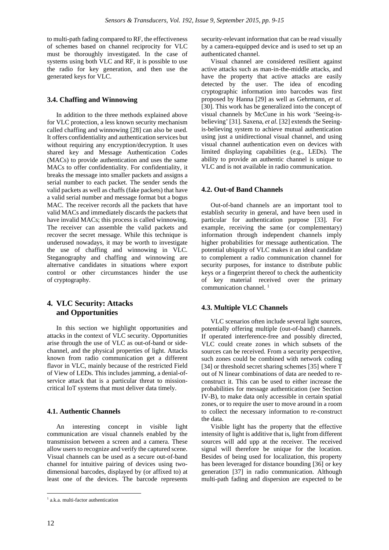to multi-path fading compared to RF, the effectiveness of schemes based on channel reciprocity for VLC must be thoroughly investigated. In the case of systems using both VLC and RF, it is possible to use the radio for key generation, and then use the generated keys for VLC.

### **3.4. Chaffing and Winnowing**

In addition to the three methods explained above for VLC protection, a less known security mechanism called chaffing and winnowing [28] can also be used. It offers confidentiality and authentication services but without requiring any encryption/decryption. It uses shared key and Message Authentication Codes (MACs) to provide authentication and uses the same MACs to offer confidentiality. For confidentiality, it breaks the message into smaller packets and assigns a serial number to each packet. The sender sends the valid packets as well as chaffs (fake packets) that have a valid serial number and message format but a bogus MAC. The receiver records all the packets that have valid MACs and immediately discards the packets that have invalid MACs; this process is called winnowing. The receiver can assemble the valid packets and recover the secret message. While this technique is underused nowadays, it may be worth to investigate the use of chaffing and winnowing in VLC. Steganography and chaffing and winnowing are alternative candidates in situations where export control or other circumstances hinder the use of cryptography.

## **4. VLC Security: Attacks and Opportunities**

In this section we highlight opportunities and attacks in the context of VLC security. Opportunities arise through the use of VLC as out-of-band or sidechannel, and the physical properties of light. Attacks known from radio communication get a different flavor in VLC, mainly because of the restricted Field of View of LEDs. This includes jamming, a denial-ofservice attack that is a particular threat to missioncritical IoT systems that must deliver data timely.

## **4.1. Authentic Channels**

An interesting concept in visible light communication are visual channels enabled by the transmission between a screen and a camera. These allow users to recognize and verify the captured scene. Visual channels can be used as a secure out-of-band channel for intuitive pairing of devices using twodimensional barcodes, displayed by (or affixed to) at least one of the devices. The barcode represents

Visual channel are considered resilient against active attacks such as man-in-the-middle attacks, and have the property that active attacks are easily detected by the user. The idea of encoding cryptographic information into barcodes was first proposed by Hanna [29] as well as Gehrmann, *et al.* [30]. This work has be generalized into the concept of visual channels by McCune in his work 'Seeing-isbelieving' [31]. Saxena, *et al.* [32] extends the Seeingis-believing system to achieve mutual authentication using just a unidirectional visual channel, and using visual channel authentication even on devices with limited displaying capabilities (e.g., LEDs). The ability to provide an authentic channel is unique to VLC and is not available in radio communication.

## **4.2. Out-of Band Channels**

Out-of-band channels are an important tool to establish security in general, and have been used in particular for authentication purpose [33]. For example, receiving the same (or complementary) information through independent channels imply higher probabilities for message authentication. The potential ubiquity of VLC makes it an ideal candidate to complement a radio communication channel for security purposes, for instance to distribute public keys or a fingerprint thereof to check the authenticity of key material received over the primary communication channel.<sup>1</sup>

#### **4.3. Multiple VLC Channels**

VLC scenarios often include several light sources, potentially offering multiple (out-of-band) channels. If operated interference-free and possibly directed, VLC could create zones in which subsets of the sources can be received. From a security perspective, such zones could be combined with network coding [34] or threshold secret sharing schemes [35] where T out of N linear combinations of data are needed to reconstruct it. This can be used to either increase the probabilities for message authentication (see Section IV-B), to make data only accessible in certain spatial zones, or to require the user to move around in a room to collect the necessary information to re-construct the data.

Visible light has the property that the effective intensity of light is additive that is, light from different sources will add upp at the receiver. The received signal will therefore be unique for the location. Besides of being used for localization, this property has been leveraged for distance bounding [36] or key generation [37] in radio communication. Although multi-path fading and dispersion are expected to be

1

<sup>1</sup> a.k.a. multi-factor authentication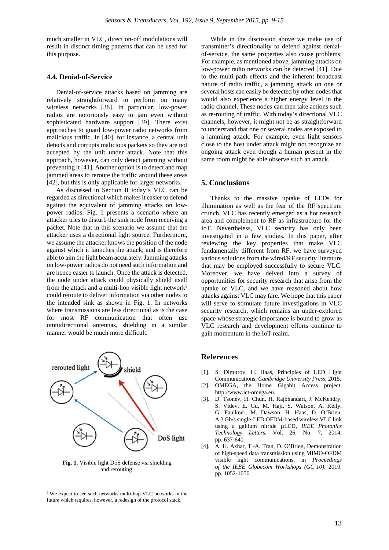much smaller in VLC, direct on-off modulations will result in distinct timing patterns that can be used for this purpose.

### **4.4. Denial-of-Service**

Denial-of-service attacks based on jamming are relatively straightforward to perform on many wireless networks [38]. In particular, low-power radios are notoriously easy to jam even without sophisticated hardware support [39]. There exist approaches to guard low-power radio networks from malicious traffic. In [40], for instance, a central unit detects and corrupts malicious packets so they are not accepted by the unit under attack. Note that this approach, however, can only detect jamming without preventing it [41]. Another option is to detect and map jammed areas to reroute the traffic around these areas [42], but this is only applicable for larger networks.

As discussed in Section II today's VLC can be regarded as directional which makes it easier to defend against the equivalent of jamming attacks on lowpower radios. Fig. 1 presents a scenario where an attacker tries to disturb the sink node from receiving a packet. Note that in this scenario we assume that the attacker uses a directional light source. Furthermore, we assume the attacker knows the position of the node against which it launches the attack, and is therefore able to aim the light beam accurately. Jamming attacks on low-power radios do not need such information and are hence easier to launch. Once the attack is detected, the node under attack could physically shield itself from the attack and a multi-hop visible light network<sup>2</sup> could reroute to deliver information via other nodes to the intended sink as shown in Fig. 1. In networks where transmissions are less directional as is the case for most RF communication that often use omnidirectional antennas, shielding in a similar manner would be much more difficult.



**Fig. 1.** Visible light DoS defense via shielding and rerouting.

 $\overline{a}$ 

While in the discussion above we make use of transmitter's directionality to defend against denialof-service, the same properties also cause problems. For example, as mentioned above, jamming attacks on low-power radio networks can be detected [41]. Due to the multi-path effects and the inherent broadcast nature of radio traffic, a jamming attack on one or several hosts can easily be detected by other nodes that would also experience a higher energy level in the radio channel. These nodes can then take actions such as re-routing of traffic. With today's directional VLC channels, however, it might not be as straightforward to understand that one or several nodes are exposed to a jamming attack. For example, even light sensors close to the host under attack might not recognize an ongoing attack even though a human present in the same room might be able observe such an attack.

## **5. Conclusions**

Thanks to the massive uptake of LEDs for illumination as well as the fear of the RF spectrum crunch, VLC has recently emerged as a hot research area and complement to RF as infrastructure for the IoT. Nevertheless, VLC security has only been investigated in a few studies. In this paper, after reviewing the key properties that make VLC fundamentally different from RF, we have surveyed various solutions from the wired/RF security literature that may be employed successfully to secure VLC. Moreover, we have delved into a survey of opportunities for security research that arise from the uptake of VLC, and we have reasoned about how attacks against VLC may fare. We hope that this paper will serve to stimulate future investigations in VLC security research, which remains an under-explored space whose strategic importance is bound to grow as VLC research and development efforts continue to gain momentum in the IoT realm.

### **References**

- [1]. S. Dimitrov, H. Haas, Principles of LED Light Communications, *Cambridge University Press*, 2015.
- [2]. OMEGA, the Home Gigabit Access project, http://www.ict-omega.eu.
- [3]. D. Tsonev, H. Chun, H. Rajbhandari, J. McKendry, S. Videv, E. Gu, M. Haji, S. Watson, A. Kelly, G. Faulkner, M. Dawson, H. Haas, D. O'Brien, A 3 Gb/s single-LED OFDM-based wireless VLC link using a gallium nitride µLED, *IEEE Photonics Technology Letters*, Vol. 26, No. 7, 2014, pp. 637-640.
- [4]. A. H. Azhar, T.-A. Tran, D. O'Brien, Demonstration of high-speed data transmission using MIMO-OFDM visible light communications, in *Proceedings of the IEEE Globecom Workshops (GC'10),* 2010, pp. 1052-1056.

<sup>&</sup>lt;sup>2</sup> We expect to see such networks multi-hop VLC networks in the future which requires, however, a redesign of the protocol stack.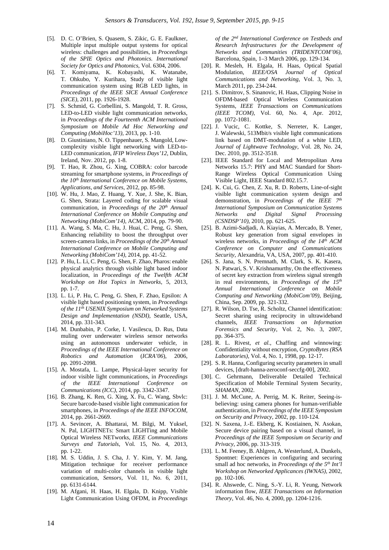- [5]. D. C. O'Brien, S. Quasem, S. Zikic, G. E. Faulkner, Multiple input multiple output systems for optical wireless: challenges and possibilities, in *Proceedings of the SPIE Optics and Photonics. International Society for Optics and Photonics*, Vol. 6304, 2006.
- [6]. T. Komiyama, K. Kobayashi, K. Watanabe, T. Ohkubo, Y. Kurihara, Study of visible light communication system using RGB LED lights, in *Proceedings of the IEEE SICE Annual Conference (SICE)*, 2011, pp. 1926-1928.
- [7]. S. Schmid, G. Corbellini, S. Mangold, T. R. Gross, LED-to-LED visible light communication networks, in *Proceedings of the Fourteenth ACM International Symposium on Mobile Ad Hoc Networking and Computing (MobiHoc'13)*, 2013, pp. 1-10.
- [8]. D. Giustiniano, N. O. Tippenhauer, S. Mangold, Lowcomplexity visible light networking with LED-to-LED communication, *IFIP Wireless Days'12*, Dublin, Ireland, Nov. 2012, pp. 1-8.
- [9]. T. Hao, R. Zhou, G. Xing, COBRA: color barcode streaming for smartphone systems, in *Proceedings of the 10th International Conference on Mobile Systems, Applications, and Services*, 2012, pp. 85-98.
- [10]. W. Hu, J. Mao, Z. Huang, Y. Xue, J. She, K. Bian, G. Shen, Strata: Layered coding for scalable visual communication, in *Proceedings of the 20<sup>th</sup> Annual International Conference on Mobile Computing and Networking (MobiCom'14),* ACM, 2014, pp. 79-90.
- [11]. A. Wang, S. Ma, C. Hu, J. Huai, C. Peng, G. Shen, Enhancing reliability to boost the throughput over screen-camera links, in *Proceedings of the 20th Annual International Conference on Mobile Computing and Networking (MobiCom'14),* 2014, pp. 41-52.
- [12]. P. Hu, L. Li, C. Peng, G. Shen, F. Zhao, Pharos: enable physical analytics through visible light based indoor localization, in *Proceedings of the Twelfth ACM Workshop on Hot Topics in Networks*, 5, 2013, pp. 1-7.
- [13]. L. Li, P. Hu, C. Peng, G. Shen, F. Zhao, Epsilon: A visible light based positioning system, in *Proceedings of the 11th USENIX Symposium on Networked Systems Design and Implementation (NSDI)*, Seattle, USA, 2014, pp. 331-343.
- [14]. M. Dunbabin, P. Corke, I. Vasilescu, D. Rus, Data muling over underwater wireless sensor networks using an autonomous underwater vehicle, in *Proceedings of the IEEE International Conference on Robotics and Automation* (*ICRA'06*), 2006, pp. 2091-2098.
- [15]. A. Mostafa, L. Lampe, Physical-layer security for indoor visible light communications, in *Proceedings of the IEEE International Conference on Communications (ICC)*, 2014, pp. 3342-3347.
- [16]. B. Zhang, K. Ren, G. Xing, X. Fu, C. Wang, Sbvlc: Secure barcode-based visible light communication for smartphones, in *Proceedings of the IEEE INFOCOM,*  2014, pp. 2661-2669.
- [17]. A. Sevincer, A. Bhattarai, M. Bilgi, M. Yuksel, N. Pal, LIGHTNETs: Smart LIGHTing and Mobile Optical Wireless NETworks, *IEEE Communications Surveys and Tutorials*, Vol. 15, No. 4, 2013, pp. 1-22.
- [18]. M. S. Uddin, J. S. Cha, J. Y. Kim, Y. M. Jang, Mitigation technique for receiver performance variation of multi-color channels in visible light communication, *Sensors*, Vol. 11, No. 6, 2011, pp. 6131-6144.
- [19]. M. Afgani, H. Haas, H. Elgala, D. Knipp, Visible Light Communication Using OFDM, in *Proceedings*

*of the 2nd International Conference on Testbeds and Research Infrastructures for the Development of Networks and Communities (TRIDENTCOM'06)*, Barcelona, Spain, 1–3 March 2006, pp. 129-134.

- [20]. R. Mesleh, H. Elgala, H. Haas, Optical Spatial Modulation, *IEEE/OSA Journal of Optical Communications and Networking*, Vol. 3, No. 3, March 2011, pp. 234-244.
- [21]. S. Dimitrov, S. Sinanovic, H. Haas, Clipping Noise in OFDM-based Optical Wireless Communication Systems, *IEEE Transactions on Communications (IEEE TCOM)*, Vol. 60, No. 4, Apr. 2012, pp. 1072-1081.
- [22]. J. Vucic, C. Kottke, S. Nerreter, K. Langer, J. Walewski, 513Mbit/s visible light communications link based on DMT-modulation of a white LED, *Journal of Lightwave Technology*, Vol. 28, No. 24, Dec. 2010, pp. 3512-3518.
- [23]. IEEE Standard for Local and Metropolitan Area Networks 15.7: PHY and MAC Standard for Short-Range Wireless Optical Communication Using Visible Light, IEEE Standard 802.15.7.
- [24]. K. Cui, G. Chen, Z. Xu, R. D. Roberts, Line-of-sight visible light communication system design and demonstration, in *Proceedings of the IEEE 7th International Symposium on Communication Systems Networks and Digital Signal Processing (CSNDSP'10)*, 2010, pp. 621-625.
- [25]. B. Azimi-Sadjadi, A. Kiayias, A. Mercado, B. Yener, Robust key generation from signal envelopes in wireless networks, in *Proceedings of the 14th ACM Conference on Computer and Communications Security*, Alexandria, VA, USA, 2007, pp. 401-410.
- [26]. S. Jana, S. N. Premnath, M. Clark, S. K. Kasera, N. Patwari, S. V. Krishnamurthy, On the effectiveness of secret key extraction from wireless signal strength in real environments, in *Proceedings of the 15th Annual International Conference on Mobile Computing and Networking (MobiCom'09)*, Beijing, China, Sep. 2009, pp. 321-332.
- [27]. R. Wilson, D. Tse, R. Scholtz, Channel identification: Secret sharing using reciprocity in ultrawideband channels, *IEEE Transactions on Information Forensics and Security*, Vol. 2, No. 3, 2007, pp. 364-375.
- [28]. R. L. Rivest*, et al.*, Chaffing and winnowing: Confidentiality without encryption, *CryptoBytes (RSA Laboratories)*, Vol. 4, No. 1, 1998, pp. 12-17.
- [29]. S. R. Hanna, Configuring security parameters in small devices, [draft-hanna-zeroconf-seccfg-00], 2002.
- [30]. C. Gehrmann, Deliverable Detailed Technical Specification of Mobile Terminal System Security, *SHAMAN*, 2002.
- [31]. J. M. McCune, A. Perrig, M. K. Reiter, Seeing-isbelieving: using camera phones for human-verifiable authentication, in *Proceedings of the IEEE Symposium on Security and Privacy*, 2002, pp. 110-124.
- [32]. N. Saxena, J.-E. Ekberg, K. Kostiainen, N. Asokan, Secure device pairing based on a visual channel, in *Proceedings of the IEEE Symposium on Security and Privacy*, 2006, pp. 313-319.
- [33]. L. M. Feeney, B. Ahlgren, A. Westerlund, A. Dunkels, Spontnet: Experiences in configuring and securing small ad hoc networks, in *Proceedings of the 5th Int'l Workshop on Networked Applicances (IWNA5)*, 2002, pp. 102-106.
- [34]. R. Ahswede, C. Ning, S.-Y. Li, R. Yeung, Network information flow, *IEEE Transactions on Information Theory*, Vol. 46, No. 4, 2000, pp. 1204-1216.